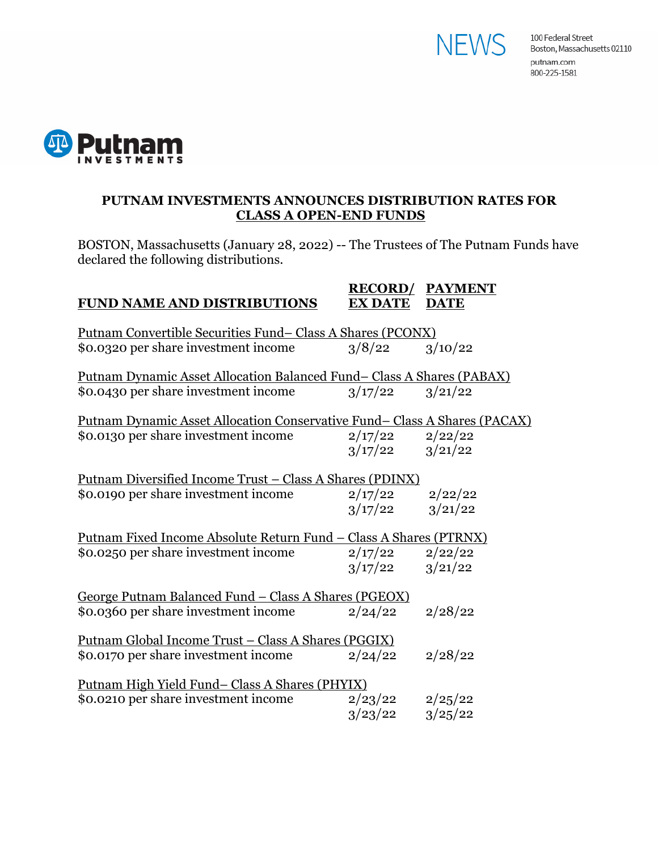



## **PUTNAM INVESTMENTS ANNOUNCES DISTRIBUTION RATES FOR CLASS A OPEN-END FUNDS**

BOSTON, Massachusetts (January 28, 2022) -- The Trustees of The Putnam Funds have declared the following distributions.

## **RECORD/ PAYMENT FUND NAME AND DISTRIBUTIONS EX DATE DATE**

| <u>Putnam Convertible Securities Fund-Class A Shares (PCONX)</u>                  |  |  |  |
|-----------------------------------------------------------------------------------|--|--|--|
|                                                                                   |  |  |  |
| <u>Putnam Dynamic Asset Allocation Balanced Fund– Class A Shares (PABAX)</u>      |  |  |  |
|                                                                                   |  |  |  |
|                                                                                   |  |  |  |
| <u> Putnam Dynamic Asset Allocation Conservative Fund– Class A Shares (PACAX)</u> |  |  |  |
|                                                                                   |  |  |  |
|                                                                                   |  |  |  |
|                                                                                   |  |  |  |
| <u> Putnam Diversified Income Trust – Class A Shares (PDINX)</u>                  |  |  |  |
|                                                                                   |  |  |  |
|                                                                                   |  |  |  |
| <u> Putnam Fixed Income Absolute Return Fund – Class A Shares (PTRNX)</u>         |  |  |  |
|                                                                                   |  |  |  |
|                                                                                   |  |  |  |
|                                                                                   |  |  |  |
| <u>George Putnam Balanced Fund – Class A Shares (PGEOX)</u>                       |  |  |  |
|                                                                                   |  |  |  |
|                                                                                   |  |  |  |
|                                                                                   |  |  |  |
|                                                                                   |  |  |  |
|                                                                                   |  |  |  |
| <u> Putnam High Yield Fund– Class A Shares (PHYIX)</u>                            |  |  |  |
|                                                                                   |  |  |  |
|                                                                                   |  |  |  |
|                                                                                   |  |  |  |